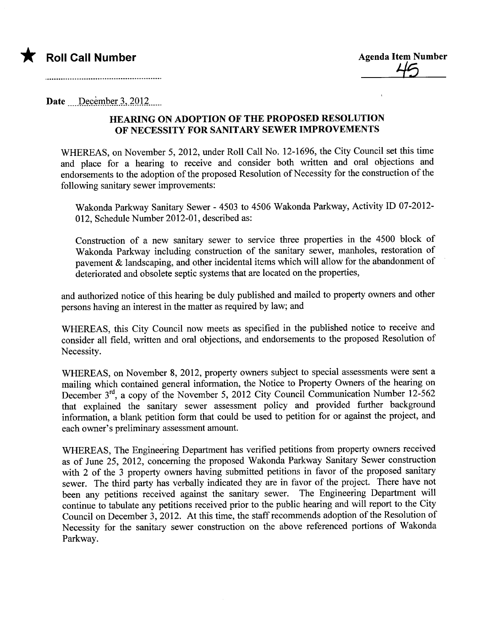

Date December 3, 2012

## HEARING ON ADOPTION OF THE PROPOSED RESOLUTION OF NECESSITY FOR SANITARY SEWER IMPROVEMENTS

WHEREAS, on November 5, 2012, under Roll Call No. 12-1696, the City Council set this time and place for a hearing to receive and consider both written and oral objections and endorsements to the adoption of the proposed Resolution of Necessity for the construction of the following sanitary sewer improvements:

Wakonda Parkway Sanitary Sewer - 4503 to 4506 Wakonda Parkway, Activity ID 07-2012-012, Schedule Number 2012-01, described as:

Construction of a new sanitary sewer to service three properties in the 4500 block of Wakonda Parkway including construction of the sanitary sewer, manholes, restoration of pavement  $\&$  landscaping, and other incidental items which will allow for the abandonment of deteriorated and obsolete septic systems that are located on the properties,

and authorized notice of this hearing be duly published and mailed to property owners and other persons having an interest in the matter as required by law; and

WHEREAS, this City Council now meets as specified in the published notice to receive and consider all field, written and oral objections, and endorsements to the proposed Resolution of Necessity.

WHEREAS, on November 8, 2012, property owners subject to special assessments were sent a mailing which contained general information, the Notice to Property Owners of the hearing on December 3<sup>rd</sup>, a copy of the November 5, 2012 City Council Communication Number 12-562 that explained the sanitary sewer assessment policy and provided further background information, a blank petition form that could be used to petition for or against the project, and each owner's preliminary assessment amount.

WHEREAS, The Engineering Deparment has verified petitions from property owners received as of June 25, 2012, concerning the proposed Wakonda Parkway Sanitary Sewer construction with 2 of the 3 property owners having submitted petitions in favor of the proposed sanitary sewer. The third pary has verbally indicated they are in favor of the project. There have not been any petitions received against the sanitary sewer. The Engineering Department will continue to tabulate any petitions received prior to the public hearing and will report to the City Council on December 3,2012. At this time, the staff recommends adoption of the Resolution of Necessity for the sanitary sewer construction on the above referenced portions of Wakonda Parkway.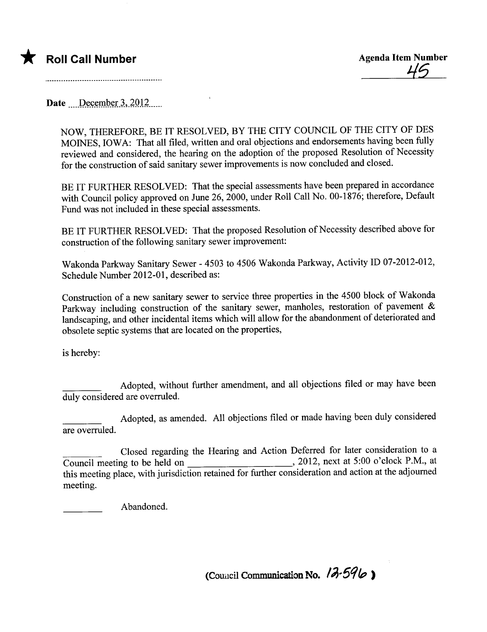

Date  $December 3, 2012...$ 

NOW, THEREFORE, BE IT RESOLVED, BY THE CITY COUNCIL OF THE CITY OF DES MOINES, IOWA: That all filed, written and oral objections and endorsements having been fully reviewed and considered, the hearing on the adoption of the proposed Resolution of Necessity for the construction of said sanitary sewer improvements is now concluded and closed.

BE IT FURTHER RESOLVED: That the special assessments have been prepared in accordance with Council policy approved on June 26, 2000, under Roll Call No. 00-1876; therefore, Default Fund was not included in these special assessments.

BE IT FURTHER RESOLVED: That the proposed Resolution of Necessity described above for construction of the following sanitary sewer improvement:

Wakonda Parkway Sanitary Sewer - 4503 to 4506 Wakonda Parkway, Activity ID 07-2012-012, Schedule Number 2012-01, described as:

Construction of a new sanitary sewer to service three properties in the 4500 block of Wakonda Parkway including construction of the sanitary sewer, manholes, restoration of pavement  $\&$ landscaping, and other incidental items which wil allow for the abandonment of deteriorated and obsolete septic systems that are located on the properties,

is hereby:

Adopted, without further amendment, and all objections fied or may have been duly considered are overruled.

Adopted, as amended. All objections fied or made having been duly considered are overruled.

Closed regarding the Hearing and Action Deferred for later consideration to a Council meeting to be held on , 2012, next at 5:00 o'clock P.M., at this meeting place, with jurisdiction retained for further consideration and action at the adjourned meeting.

Abandoned.

(Council Communication No.  $12.596$ )